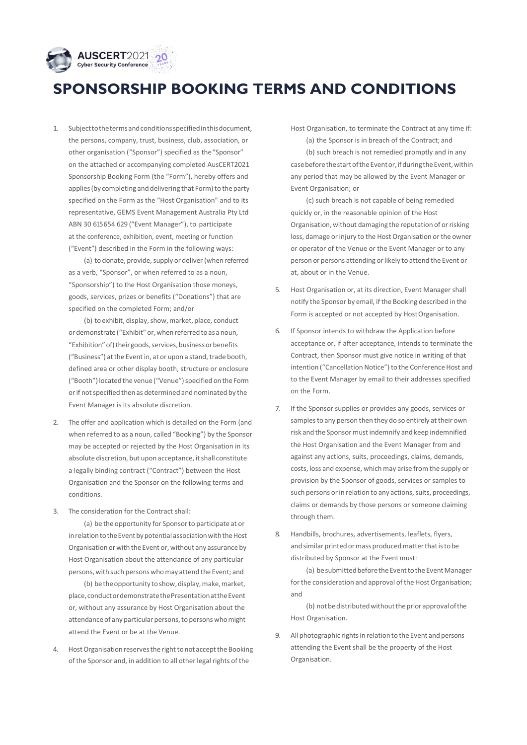

## **SPONSORSHIP BOOKING TERMS AND CONDITIONS**

1. Subjecttothetermsandconditionsspecifiedinthisdocument, the persons, company, trust, business, club, association, or other organisation ("Sponsor") specified as the"Sponsor" on the attached or accompanying completed AusCERT2021 Sponsorship Booking Form (the "Form"), hereby offers and applies (by completing and delivering that Form) to the party specified on the Form as the "Host Organisation" and to its representative, GEMS Event Management Australia Pty Ltd ABN 30 615 654 629 ("Event Manager"), to participate at the conference, exhibition, event, meeting or function ("Event") described in the Form in the following ways:

(a) to donate, provide, supply or deliver (when referred as a verb, "Sponsor", or when referred to as a noun, "Sponsorship") to the Host Organisation those moneys, goods, services, prizes or benefits ("Donations") that are specified on the completed Form; and/or

(b) to exhibit, display, show, market, place, conduct ordemonstrate ("Exhibit" or,whenreferredtoas anoun, "Exhibition" of) their goods, services, business or benefits ("Business") at the Event in, at or upon a stand, trade booth, defined area or other display booth, structure or enclosure ("Booth") located the venue ("Venue") specified on the Form orif notspecified then as determined and nominated by the Event Manager is its absolute discretion.

- 2. The offer and application which is detailed on the Form (and when referred to as a noun, called "Booking") by the Sponsor may be accepted or rejected by the Host Organisation in its absolute discretion, but upon acceptance, it shall constitute a legally binding contract ("Contract") between the Host Organisation and the Sponsor on the following terms and conditions.
- 3. The consideration for the Contract shall:

(a) be the opportunity for Sponsorto participate at or in relation to the Event by potential association with the Host Organisation or with the Event or, without any assurance by Host Organisation about the attendance of any particular persons, with such persons whomay attend the Event; and

(b) be the opportunity to show, display, make, market, place,conductordemonstratethePresentationattheEvent or, without any assurance by Host Organisation about the attendance of any particular persons, to persons who might attend the Event or be at the Venue.

4. Host Organisation reserves the right to not accept the Booking of the Sponsor and, in addition to all other legal rights of the

Host Organisation, to terminate the Contract at any time if:

(a) the Sponsor is in breach of the Contract; and (b) such breach is not remedied promptly and in any case before the start of the Event or, if during the Event, within any period that may be allowed by the Event Manager or Event Organisation; or

(c) such breach is not capable of being remedied quickly or, in the reasonable opinion of the Host Organisation, without damaging the reputation of orrisking loss, damage or injury to the Host Organisation or the owner or operator of the Venue or the Event Manager or to any person or persons attending or likely to attend the Event or at, about or in the Venue.

- 5. Host Organisation or, at its direction, Event Manager shall notify the Sponsor by email, if the Booking described in the Form is accepted or not accepted by HostOrganisation.
- 6. If Sponsor intends to withdraw the Application before acceptance or, if after acceptance, intends to terminate the Contract, then Sponsor must give notice in writing of that intention ("Cancellation Notice") to the Conference Host and to the Event Manager by email to their addresses specified on the Form.
- 7. If the Sponsor supplies or provides any goods, services or samples to any person then they do so entirely at their own risk and the Sponsor mustindemnify and keep indemnified the Host Organisation and the Event Manager from and against any actions, suits, proceedings, claims, demands, costs, loss and expense, which may arise from the supply or provision by the Sponsor of goods, services or samples to such persons or in relation to any actions, suits, proceedings, claims or demands by those persons or someone claiming through them.
- 8. Handbills, brochures, advertisements, leaflets, flyers, and similar printed or mass produced matter that is to be distributed by Sponsor at the Event must:

(a) be submitted before the Event to the Event Manager for the consideration and approval of the Host Organisation; and

(b) not be distributed without the prior approval of the Host Organisation.

9. All photographic rights in relation to the Event and persons attending the Event shall be the property of the Host Organisation.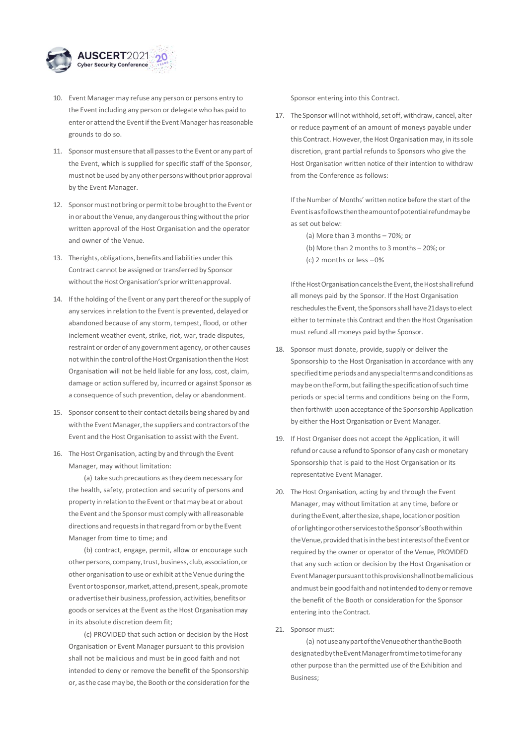

- 10. Event Manager may refuse any person or persons entry to the Event including any person or delegate who has paid to enter or attend the Event if the Event Manager has reasonable grounds to do so.
- 11. Sponsor must ensure that all passes to the Event or any part of the Event, which is supplied for specific staff of the Sponsor, must not be used by any other persons without prior approval by the Event Manager.
- 12. Sponsor must not bring or permit to be brought to the Event or in or about the Venue, any dangerous thing without the prior written approval of the Host Organisation and the operator and owner of the Venue.
- 13. The rights, obligations, benefits and liabilities under this Contract cannot be assigned or transferred by Sponsor without the Host Organisation's prior written approval.
- 14. If the holding of the Event or any part thereof or the supply of any services in relation to the Event is prevented, delayed or abandoned because of any storm, tempest, flood, or other inclement weather event, strike, riot, war, trade disputes, restraint or order of any government agency, or other causes not within the control of the Host Organisation then the Host Organisation will not be held liable for any loss, cost, claim, damage or action suffered by, incurred or against Sponsor as a consequence of such prevention, delay or abandonment.
- 15. Sponsor consent to their contact details being shared by and with the Event Manager, the suppliers and contractors of the Event and the Host Organisation to assist with the Event.
- 16. The Host Organisation, acting by and through the Event Manager, may without limitation:

(a) take such precautions asthey deem necessary for the health, safety, protection and security of persons and property in relation to the Event orthatmay be at or about the Event and the Sponsor must comply with all reasonable directions and requests in that regard from or by the Event Manager from time to time; and

(b) contract, engage, permit, allow or encourage such other persons, company, trust, business, club, association, or other organisation to use or exhibit at the Venue during the Eventortosponsor,market,attend,present,speak,promote or advertise their business, profession, activities, benefits or goods or services at the Event as the Host Organisation may in its absolute discretion deem fit;

(c) PROVIDED that such action or decision by the Host Organisation or Event Manager pursuant to this provision shall not be malicious and must be in good faith and not intended to deny or remove the benefit of the Sponsorship or, as the case may be, the Booth or the consideration for the Sponsor entering into this Contract.

17. The Sponsor will not withhold, set off, withdraw, cancel, alter or reduce payment of an amount of moneys payable under this Contract. However, the Host Organisation may, in its sole discretion, grant partial refunds to Sponsors who give the Host Organisation written notice of their intention to withdraw from the Conference as follows:

If the Number of Months' written notice before the start of the Eventisasfollowsthentheamountofpotentialrefundmaybe as set out below:

(a) More than 3 months – 70%; or (b) More than 2 months to 3 months – 20%; or (c) 2 months or less –0%

If the Host Organisation cancels the Event, the Host shall refund all moneys paid by the Sponsor. If the Host Organisation reschedules the Event, the Sponsors shall have 21 days to elect either to terminate this Contract and then the Host Organisation must refund all moneys paid bythe Sponsor.

- 18. Sponsor must donate, provide, supply or deliver the Sponsorship to the Host Organisation in accordance with any specifiedtimeperiodsandanyspecialtermsandconditionsas may be on the Form, but failing the specification of such time periods or special terms and conditions being on the Form, then forthwith upon acceptance of the Sponsorship Application by either the Host Organisation or Event Manager.
- 19. If Host Organiser does not accept the Application, it will refund or cause a refund to Sponsor of any cash or monetary Sponsorship that is paid to the Host Organisation or its representative Event Manager.
- 20. The Host Organisation, acting by and through the Event Manager, may without limitation at any time, before or during the Event, alter the size, shape, location or position oforlightingorotherservicestotheSponsor'sBoothwithin the Venue, provided that is in the best interests of the Event or required by the owner or operator of the Venue, PROVIDED that any such action or decision by the Host Organisation or EventManagerpursuanttothisprovisionshallnotbemalicious and must be in good faith and not intended to deny or remove the benefit of the Booth or consideration for the Sponsor entering into the Contract.
- 21. Sponsor must:

(a) notuseanypartoftheVenueotherthantheBooth designatedbytheEventManagerfromtimetotimeforany other purpose than the permitted use of the Exhibition and Business;